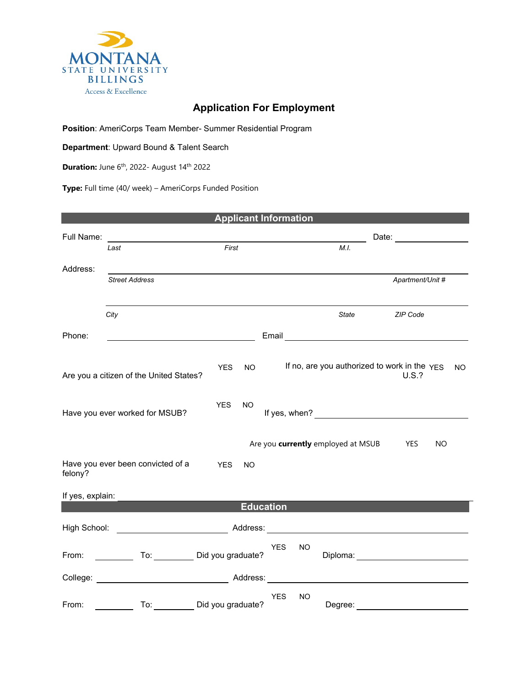

## **Application For Employment**

**Position**: AmeriCorps Team Member- Summer Residential Program

**Department**: Upward Bound & Talent Search

**Duration:** June 6<sup>th</sup>, 2022- August 14<sup>th</sup> 2022

**Type:** Full time (40/ week) – AmeriCorps Funded Position

| <b>Applicant Information</b>      |                                                                                                             |            |           |            |                        |                                               |                                                       |     |     |
|-----------------------------------|-------------------------------------------------------------------------------------------------------------|------------|-----------|------------|------------------------|-----------------------------------------------|-------------------------------------------------------|-----|-----|
| Full Name:                        |                                                                                                             |            |           |            | Date: ________________ |                                               |                                                       |     |     |
|                                   | First<br>Last                                                                                               |            |           |            | M.I.                   |                                               |                                                       |     |     |
| Address:                          |                                                                                                             |            |           |            |                        |                                               |                                                       |     |     |
|                                   | <b>Street Address</b>                                                                                       |            |           |            |                        |                                               | Apartment/Unit #                                      |     |     |
|                                   |                                                                                                             |            |           |            |                        |                                               |                                                       |     |     |
|                                   | City                                                                                                        |            |           |            |                        |                                               | State ZIP Code                                        |     |     |
|                                   |                                                                                                             |            |           |            |                        |                                               |                                                       |     |     |
| Phone:                            |                                                                                                             |            |           |            |                        |                                               |                                                       |     |     |
|                                   |                                                                                                             |            |           |            |                        |                                               |                                                       |     |     |
|                                   | Are you a citizen of the United States?                                                                     | <b>YES</b> | <b>NO</b> |            |                        |                                               | If no, are you authorized to work in the YES<br>U.S.? |     | NO. |
|                                   |                                                                                                             |            |           |            |                        |                                               |                                                       |     |     |
|                                   |                                                                                                             | <b>YES</b> | <b>NO</b> |            |                        |                                               |                                                       |     |     |
| Have you ever worked for MSUB?    |                                                                                                             |            |           |            |                        |                                               |                                                       |     |     |
|                                   |                                                                                                             |            |           |            |                        |                                               |                                                       |     |     |
|                                   |                                                                                                             |            |           |            |                        | Are you <b>currently</b> employed at MSUB YES |                                                       | NO. |     |
| Have you ever been convicted of a | <b>YES</b>                                                                                                  | <b>NO</b>  |           |            |                        |                                               |                                                       |     |     |
| felony?                           |                                                                                                             |            |           |            |                        |                                               |                                                       |     |     |
| If yes, explain:                  |                                                                                                             |            |           |            |                        |                                               |                                                       |     |     |
| <b>Education</b>                  |                                                                                                             |            |           |            |                        |                                               |                                                       |     |     |
|                                   | High School: <u>www.community.community.community.community.community.community.community.community.com</u> |            |           |            |                        |                                               |                                                       |     |     |
|                                   |                                                                                                             |            |           | <b>YES</b> | NO.                    |                                               |                                                       |     |     |
|                                   | From: To: Did you graduate?                                                                                 |            |           |            |                        |                                               |                                                       |     |     |
|                                   |                                                                                                             |            |           |            |                        |                                               |                                                       |     |     |
|                                   |                                                                                                             |            |           |            |                        |                                               |                                                       |     |     |
| From:                             | To: Did you graduate?                                                                                       |            |           | <b>YES</b> | NO.                    |                                               | Degree: ___________________________                   |     |     |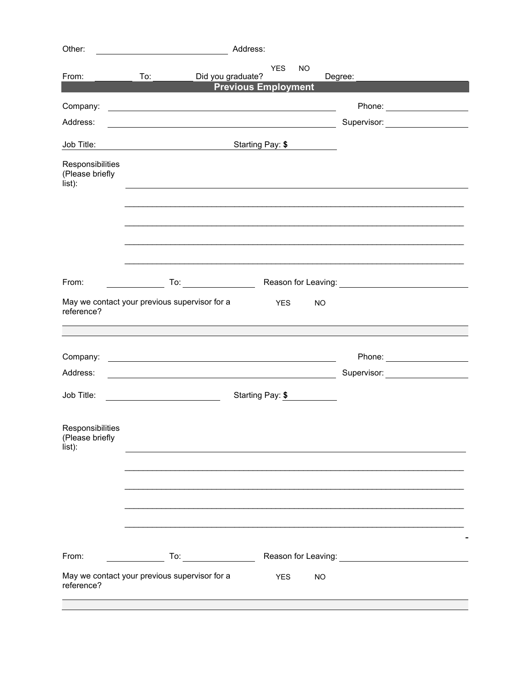| Other:                                                      |                                                                                                                        |                     | Address:                   |                         |           |         |                                                                                                      |
|-------------------------------------------------------------|------------------------------------------------------------------------------------------------------------------------|---------------------|----------------------------|-------------------------|-----------|---------|------------------------------------------------------------------------------------------------------|
| From:                                                       | To:                                                                                                                    | Did you graduate?   | <b>Previous Employment</b> | <b>YES</b><br><b>NO</b> |           | Degree: |                                                                                                      |
| Company:                                                    | and the control of the control of the control of the control of the control of the control of the control of the       |                     |                            |                         |           |         |                                                                                                      |
| Address:                                                    | <u> 1980 - Johann Barbara, martin amerikan basar dan berasal dalam basar dalam basar dalam basar dalam basar dala</u>  |                     |                            |                         |           |         | Supervisor: Victor Communication                                                                     |
| Job Title:                                                  |                                                                                                                        |                     | Starting Pay: \$           |                         |           |         |                                                                                                      |
| Responsibilities<br>(Please briefly<br>list):               |                                                                                                                        |                     |                            |                         |           |         |                                                                                                      |
|                                                             |                                                                                                                        |                     |                            |                         |           |         |                                                                                                      |
| From:                                                       |                                                                                                                        |                     |                            |                         |           |         |                                                                                                      |
| May we contact your previous supervisor for a<br>reference? |                                                                                                                        |                     |                            | <b>YES</b>              | <b>NO</b> |         |                                                                                                      |
|                                                             |                                                                                                                        |                     |                            |                         |           |         |                                                                                                      |
| Company:                                                    | <u> 1989 - Johann Stoff, deutscher Stoffen und der Stoffen und der Stoffen und der Stoffen und der Stoffen und der</u> |                     |                            |                         |           |         | Phone: _______________________                                                                       |
| Address:                                                    | <u> 1980 - Johann Barn, mars ann an t-Amhain Aonaich an t-Aonaich an t-Aonaich ann an t-Aonaich ann an t-Aonaich</u>   |                     |                            |                         |           |         | Supervisor: Victor Andrew Control Control Control Control Control Control Control Control Control Co |
| Job Title:                                                  | Starting Pay: \$                                                                                                       |                     |                            |                         |           |         |                                                                                                      |
| Responsibilities<br>(Please briefly<br>list):               |                                                                                                                        |                     |                            |                         |           |         |                                                                                                      |
|                                                             |                                                                                                                        |                     |                            |                         |           |         |                                                                                                      |
|                                                             |                                                                                                                        |                     |                            |                         |           |         |                                                                                                      |
| From:                                                       |                                                                                                                        | To: $\qquad \qquad$ |                            |                         |           |         |                                                                                                      |
| May we contact your previous supervisor for a<br>reference? |                                                                                                                        |                     |                            | <b>YES</b>              | <b>NO</b> |         |                                                                                                      |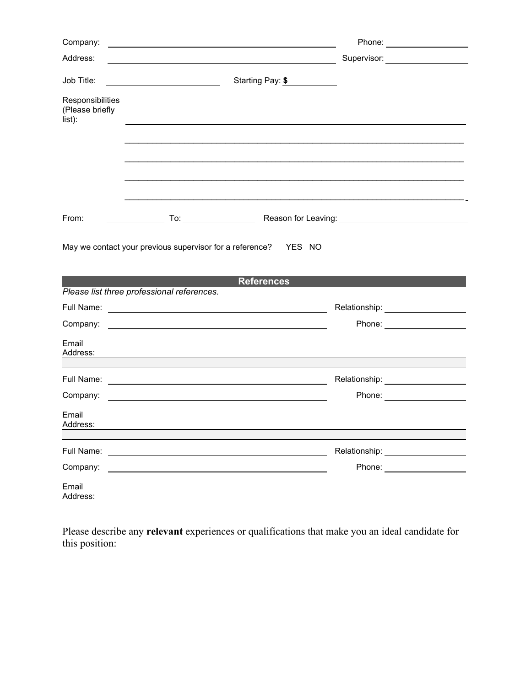| Company:                                      | <u> 1980 - Johann Harry Harry Harry Harry Harry Harry Harry Harry Harry Harry Harry Harry Harry Harry Harry Harry</u> |                                                                                                                       |                                   |
|-----------------------------------------------|-----------------------------------------------------------------------------------------------------------------------|-----------------------------------------------------------------------------------------------------------------------|-----------------------------------|
| Address:                                      |                                                                                                                       |                                                                                                                       | Supervisor: ____________________  |
| Job Title:                                    |                                                                                                                       | Starting Pay: \$                                                                                                      |                                   |
| Responsibilities<br>(Please briefly<br>list): |                                                                                                                       |                                                                                                                       |                                   |
|                                               |                                                                                                                       |                                                                                                                       |                                   |
|                                               |                                                                                                                       |                                                                                                                       |                                   |
| From:                                         |                                                                                                                       | To: Reason for Leaving: No. 2006. No. 2014. To: Network and Season for Leaving:                                       |                                   |
|                                               |                                                                                                                       | May we contact your previous supervisor for a reference?  YES NO                                                      |                                   |
|                                               | Please list three professional references.                                                                            | <b>References</b>                                                                                                     |                                   |
|                                               |                                                                                                                       |                                                                                                                       | Relationship: ___________________ |
| Company:                                      |                                                                                                                       | <u> 1989 - Johann Harry Harry Harry Harry Harry Harry Harry Harry Harry Harry Harry Harry Harry Harry Harry Harry</u> | Phone: __________________         |
| Email                                         |                                                                                                                       |                                                                                                                       |                                   |
| Full Name:                                    |                                                                                                                       |                                                                                                                       | Relationship: ___________________ |
| Company:                                      | <u> 1980 - Andrea Andrew Maria (h. 1980).</u><br>1901 - Andrew Maria (h. 1902).                                       |                                                                                                                       | Phone: <u>____________</u>        |
| Email<br>Address:                             |                                                                                                                       |                                                                                                                       |                                   |
| Full Name:                                    |                                                                                                                       |                                                                                                                       | Relationship: ___________________ |
| Company:                                      |                                                                                                                       |                                                                                                                       | Phone: ________________           |
| Email<br>Address:                             |                                                                                                                       |                                                                                                                       |                                   |

Please describe any **relevant** experiences or qualifications that make you an ideal candidate for this position: